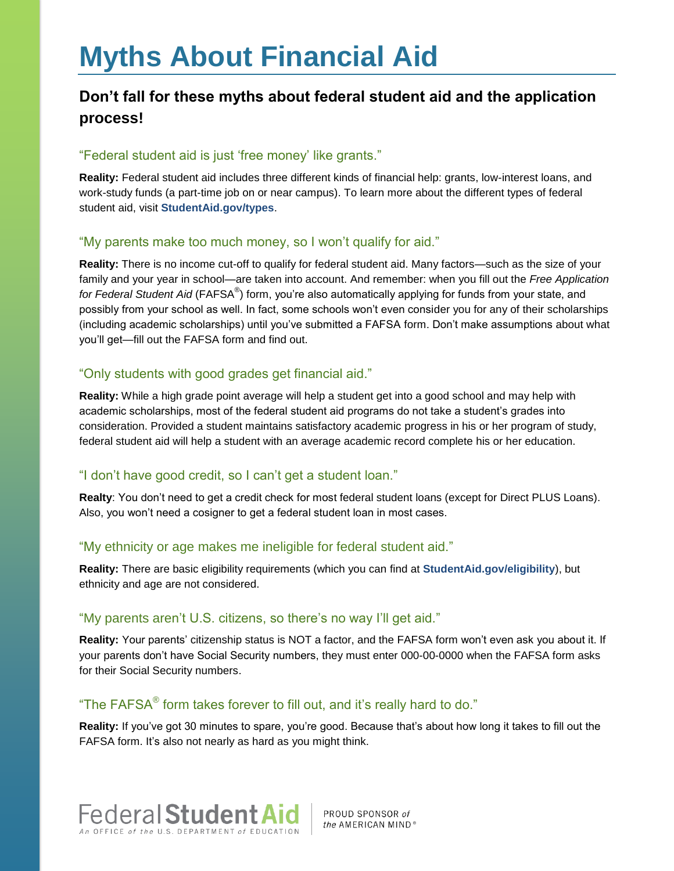# **Myths About Financial Aid**

## **Don't fall for these myths about federal student aid and the application process!**

#### "Federal student aid is just 'free money' like grants."

**Reality:** Federal student aid includes three different kinds of financial help: grants, low-interest loans, and work-study funds (a part-time job on or near campus). To learn more about the different types of federal student aid, visit **[StudentAid.gov/types](https://studentaid.ed.gov/sa/types)**.

#### "My parents make too much money, so I won't qualify for aid."

**Reality:** There is no income cut-off to qualify for federal student aid. Many factors—such as the size of your family and your year in school—are taken into account. And remember: when you fill out the *Free Application*  for Federal Student Aid (FAFSA®) form, you're also automatically applying for funds from your state, and possibly from your school as well. In fact, some schools won't even consider you for any of their scholarships (including academic scholarships) until you've submitted a FAFSA form. Don't make assumptions about what you'll get—fill out the FAFSA form and find out.

### "Only students with good grades get financial aid."

**Reality:** While a high grade point average will help a student get into a good school and may help with academic scholarships, most of the federal student aid programs do not take a student's grades into consideration. Provided a student maintains satisfactory academic progress in his or her program of study, federal student aid will help a student with an average academic record complete his or her education.

### "I don't have good credit, so I can't get a student loan."

**Realty**: You don't need to get a credit check for most federal student loans (except for Direct PLUS Loans). Also, you won't need a cosigner to get a federal student loan in most cases.

#### "My ethnicity or age makes me ineligible for federal student aid."

**Reality:** There are basic eligibility requirements (which you can find at **[StudentAid.gov/eligibility](https://studentaid.ed.gov/sa/eligibility)**), but ethnicity and age are not considered.

#### "My parents aren't U.S. citizens, so there's no way I'll get aid."

**Reality:** Your parents' citizenship status is NOT a factor, and the FAFSA form won't even ask you about it. If your parents don't have Social Security numbers, they must enter 000-00-0000 when the FAFSA form asks for their Social Security numbers.

#### "The FAFSA $^{\circledR}$  form takes forever to fill out, and it's really hard to do."

**Reality:** If you've got 30 minutes to spare, you're good. Because that's about how long it takes to fill out the FAFSA form. It's also not nearly as hard as you might think.



PROUD SPONSOR of the AMERICAN MIND®